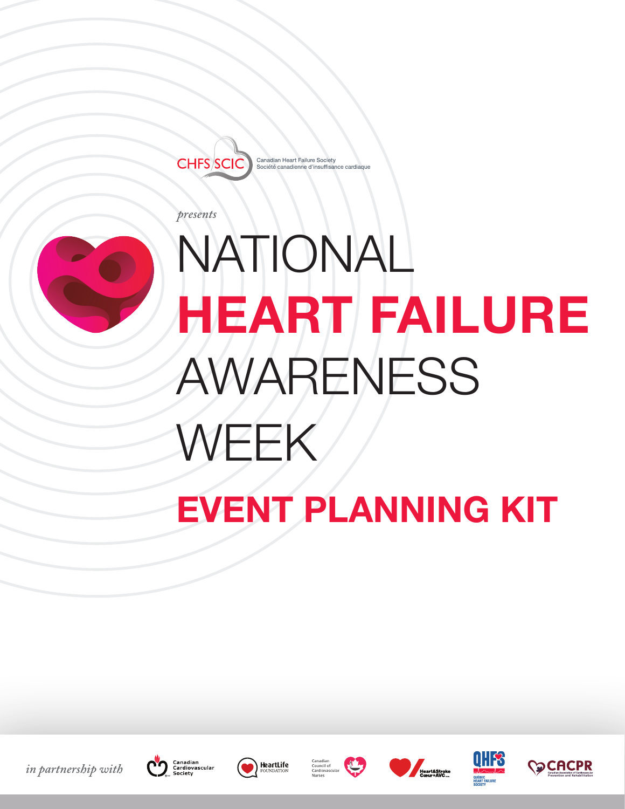

*presents*



# NATIONAL **HEART FAILURE** AWARENESS WEEK

# **EVENT PLANNING KIT**













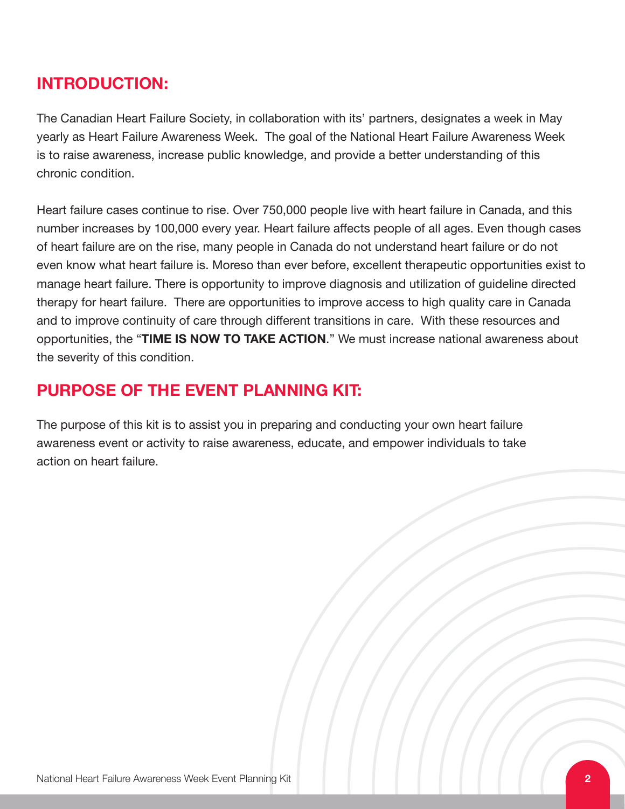## **INTRODUCTION:**

The Canadian Heart Failure Society, in collaboration with its' partners, designates a week in May yearly as Heart Failure Awareness Week. The goal of the National Heart Failure Awareness Week is to raise awareness, increase public knowledge, and provide a better understanding of this chronic condition.

Heart failure cases continue to rise. Over 750,000 people live with heart failure in Canada, and this number increases by 100,000 every year. Heart failure affects people of all ages. Even though cases of heart failure are on the rise, many people in Canada do not understand heart failure or do not even know what heart failure is. Moreso than ever before, excellent therapeutic opportunities exist to manage heart failure. There is opportunity to improve diagnosis and utilization of guideline directed therapy for heart failure. There are opportunities to improve access to high quality care in Canada and to improve continuity of care through different transitions in care. With these resources and opportunities, the "**TIME IS NOW TO TAKE ACTION**." We must increase national awareness about the severity of this condition.

## **PURPOSE OF THE EVENT PLANNING KIT:**

The purpose of this kit is to assist you in preparing and conducting your own heart failure awareness event or activity to raise awareness, educate, and empower individuals to take action on heart failure.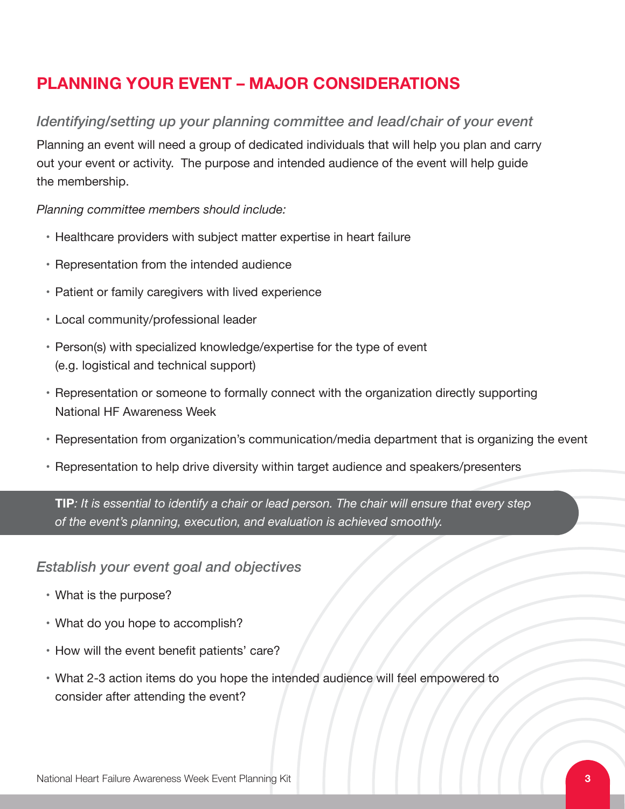# **PLANNING YOUR EVENT – MAJOR CONSIDERATIONS**

#### *Identifying/setting up your planning committee and lead/chair of your event*

Planning an event will need a group of dedicated individuals that will help you plan and carry out your event or activity. The purpose and intended audience of the event will help guide the membership.

*Planning committee members should include:* 

- **•** Healthcare providers with subject matter expertise in heart failure
- **•** Representation from the intended audience
- **•** Patient or family caregivers with lived experience
- **•** Local community/professional leader
- **•** Person(s) with specialized knowledge/expertise for the type of event (e.g. logistical and technical support)
- **•** Representation or someone to formally connect with the organization directly supporting National HF Awareness Week
- **•** Representation from organization's communication/media department that is organizing the event
- **•** Representation to help drive diversity within target audience and speakers/presenters

**TIP***: It is essential to identify a chair or lead person. The chair will ensure that every step of the event's planning, execution, and evaluation is achieved smoothly.*

#### *Establish your event goal and objectives*

- **•** What is the purpose?
- **•** What do you hope to accomplish?
- **•** How will the event benefit patients' care?
- **•** What 2-3 action items do you hope the intended audience will feel empowered to consider after attending the event?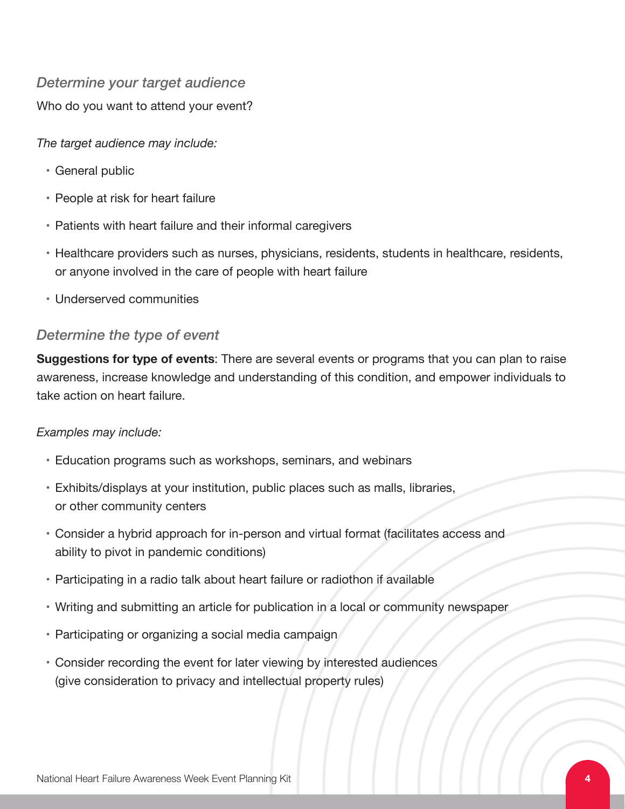#### *Determine your target audience*

Who do you want to attend your event?

*The target audience may include:*

- **•** General public
- **•** People at risk for heart failure
- **•** Patients with heart failure and their informal caregivers
- **•** Healthcare providers such as nurses, physicians, residents, students in healthcare, residents, or anyone involved in the care of people with heart failure
- **•** Underserved communities

#### *Determine the type of event*

**Suggestions for type of events**: There are several events or programs that you can plan to raise awareness, increase knowledge and understanding of this condition, and empower individuals to take action on heart failure.

#### *Examples may include:*

- **•** Education programs such as workshops, seminars, and webinars
- **•** Exhibits/displays at your institution, public places such as malls, libraries, or other community centers
- **•** Consider a hybrid approach for in-person and virtual format (facilitates access and ability to pivot in pandemic conditions)
- **•** Participating in a radio talk about heart failure or radiothon if available
- **•** Writing and submitting an article for publication in a local or community newspaper
- **•** Participating or organizing a social media campaign
- **•** Consider recording the event for later viewing by interested audiences (give consideration to privacy and intellectual property rules)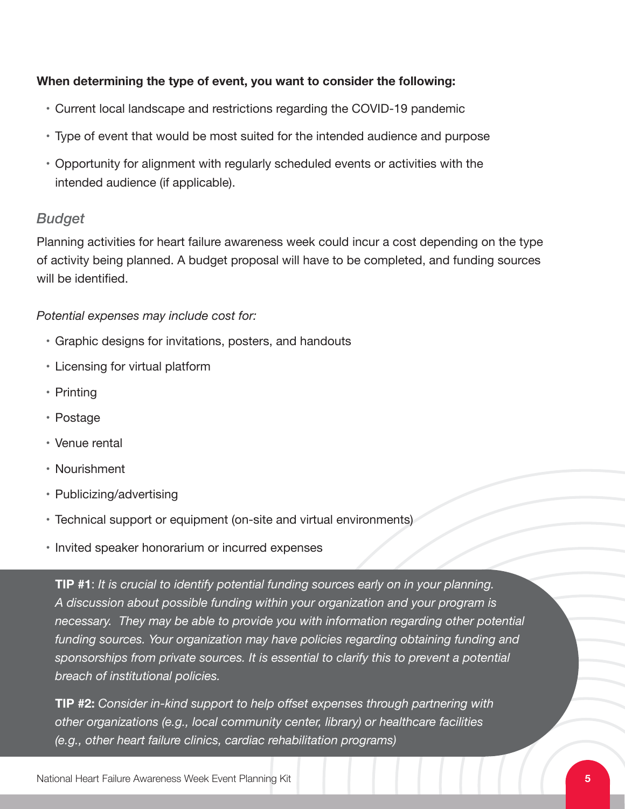#### **When determining the type of event, you want to consider the following:**

- **•** Current local landscape and restrictions regarding the COVID-19 pandemic
- **•** Type of event that would be most suited for the intended audience and purpose
- **•** Opportunity for alignment with regularly scheduled events or activities with the intended audience (if applicable).

#### *Budget*

Planning activities for heart failure awareness week could incur a cost depending on the type of activity being planned. A budget proposal will have to be completed, and funding sources will be identified.

#### *Potential expenses may include cost for:*

- **•** Graphic designs for invitations, posters, and handouts
- **•** Licensing for virtual platform
- **•** Printing
- **•** Postage
- **•** Venue rental
- **•** Nourishment
- **•** Publicizing/advertising
- **•** Technical support or equipment (on-site and virtual environments)
- **•** Invited speaker honorarium or incurred expenses

**TIP #1**: *It is crucial to identify potential funding sources early on in your planning. A discussion about possible funding within your organization and your program is necessary. They may be able to provide you with information regarding other potential funding sources. Your organization may have policies regarding obtaining funding and sponsorships from private sources. It is essential to clarify this to prevent a potential breach of institutional policies.*

**TIP #2:** *Consider in-kind support to help offset expenses through partnering with other organizations (e.g., local community center, library) or healthcare facilities (e.g., other heart failure clinics, cardiac rehabilitation programs)*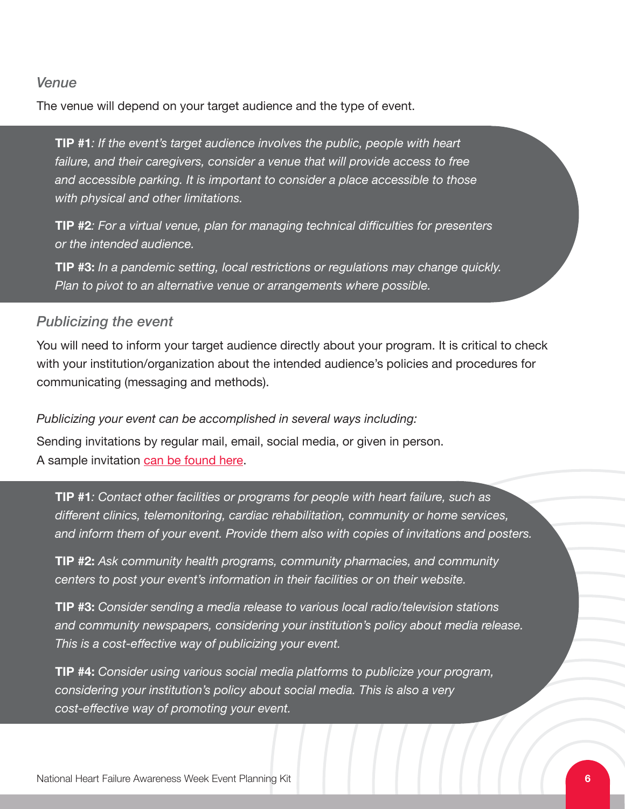#### *Venue*

The venue will depend on your target audience and the type of event.

**TIP #1***: If the event's target audience involves the public, people with heart failure, and their caregivers, consider a venue that will provide access to free and accessible parking. It is important to consider a place accessible to those with physical and other limitations.*

**TIP #2***: For a virtual venue, plan for managing technical difficulties for presenters or the intended audience.* 

**TIP #3:** *In a pandemic setting, local restrictions or regulations may change quickly. Plan to pivot to an alternative venue or arrangements where possible.* 

#### *Publicizing the event*

You will need to inform your target audience directly about your program. It is critical to check with your institution/organization about the intended audience's policies and procedures for communicating (messaging and methods).

*Publicizing your event can be accomplished in several ways including:* Sending invitations by regular mail, email, social media, or given in person. A sample invitation [can be found here](https://heartfailure.ca/education/national-heart-failure-awareness-week).

**TIP #1***: Contact other facilities or programs for people with heart failure, such as different clinics, telemonitoring, cardiac rehabilitation, community or home services, and inform them of your event. Provide them also with copies of invitations and posters.*

**TIP #2:** *Ask community health programs, community pharmacies, and community centers to post your event's information in their facilities or on their website.* 

**TIP #3:** *Consider sending a media release to various local radio/television stations and community newspapers, considering your institution's policy about media release. This is a cost-effective way of publicizing your event.*

**TIP #4:** *Consider using various social media platforms to publicize your program, considering your institution's policy about social media. This is also a very cost-effective way of promoting your event.*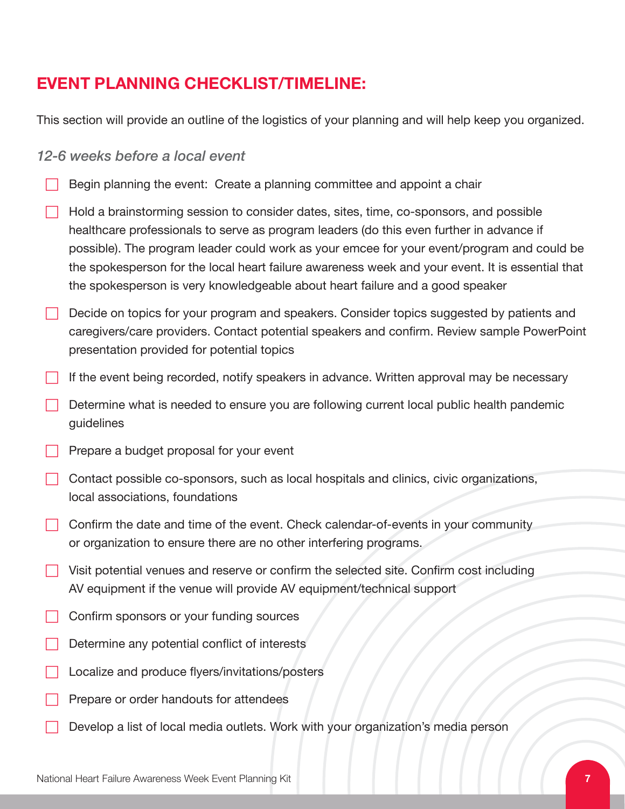# **EVENT PLANNING CHECKLIST/TIMELINE:**

This section will provide an outline of the logistics of your planning and will help keep you organized.

#### *12-6 weeks before a local event*

- Begin planning the event: Create a planning committee and appoint a chair
- Hold a brainstorming session to consider dates, sites, time, co-sponsors, and possible healthcare professionals to serve as program leaders (do this even further in advance if possible). The program leader could work as your emcee for your event/program and could be the spokesperson for the local heart failure awareness week and your event. It is essential that the spokesperson is very knowledgeable about heart failure and a good speaker
- Decide on topics for your program and speakers. Consider topics suggested by patients and caregivers/care providers. Contact potential speakers and confirm. Review sample PowerPoint presentation provided for potential topics
- If the event being recorded, notify speakers in advance. Written approval may be necessary
- Determine what is needed to ensure you are following current local public health pandemic guidelines
- Prepare a budget proposal for your event
- Contact possible co-sponsors, such as local hospitals and clinics, civic organizations, local associations, foundations
- Confirm the date and time of the event. Check calendar-of-events in your community or organization to ensure there are no other interfering programs.
- $\Box$  Visit potential venues and reserve or confirm the selected site. Confirm cost including AV equipment if the venue will provide AV equipment/technical support
- Confirm sponsors or your funding sources
- Determine any potential conflict of interests
- Localize and produce flyers/invitations/posters
- Prepare or order handouts for attendees
- Develop a list of local media outlets. Work with your organization's media person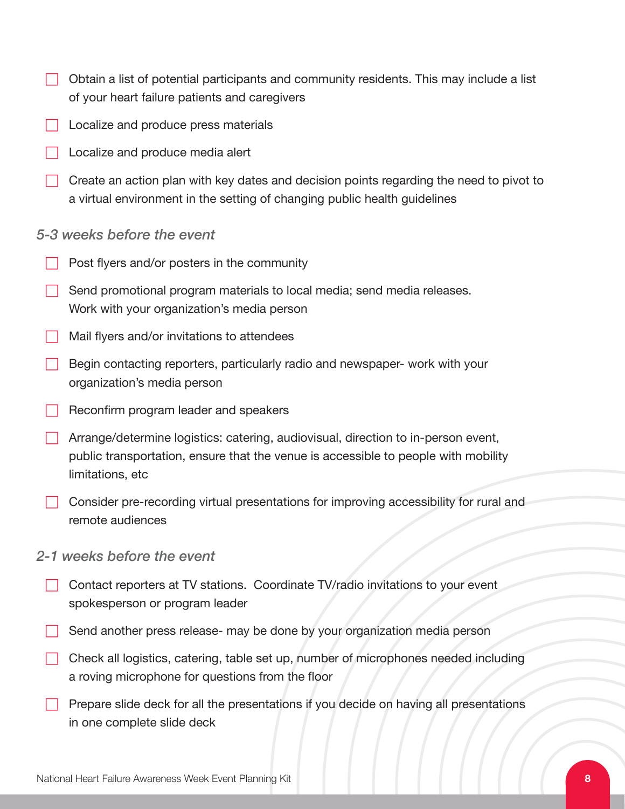- $\Box$  Obtain a list of potential participants and community residents. This may include a list of your heart failure patients and caregivers
- Localize and produce press materials
- Localize and produce media alert
- Create an action plan with key dates and decision points regarding the need to pivot to a virtual environment in the setting of changing public health guidelines

#### *5-3 weeks before the event*

- Post flyers and/or posters in the community
- Send promotional program materials to local media; send media releases. Work with your organization's media person
- Mail flyers and/or invitations to attendees
- Begin contacting reporters, particularly radio and newspaper- work with your organization's media person
- Reconfirm program leader and speakers
- Arrange/determine logistics: catering, audiovisual, direction to in-person event, public transportation, ensure that the venue is accessible to people with mobility limitations, etc
- Consider pre-recording virtual presentations for improving accessibility for rural and remote audiences

#### *2-1 weeks before the event*

- Contact reporters at TV stations. Coordinate TV/radio invitations to your event spokesperson or program leader
- Send another press release- may be done by your organization media person
- Check all logistics, catering, table set up, number of microphones needed including a roving microphone for questions from the floor
- Prepare slide deck for all the presentations if you decide on having all presentations in one complete slide deck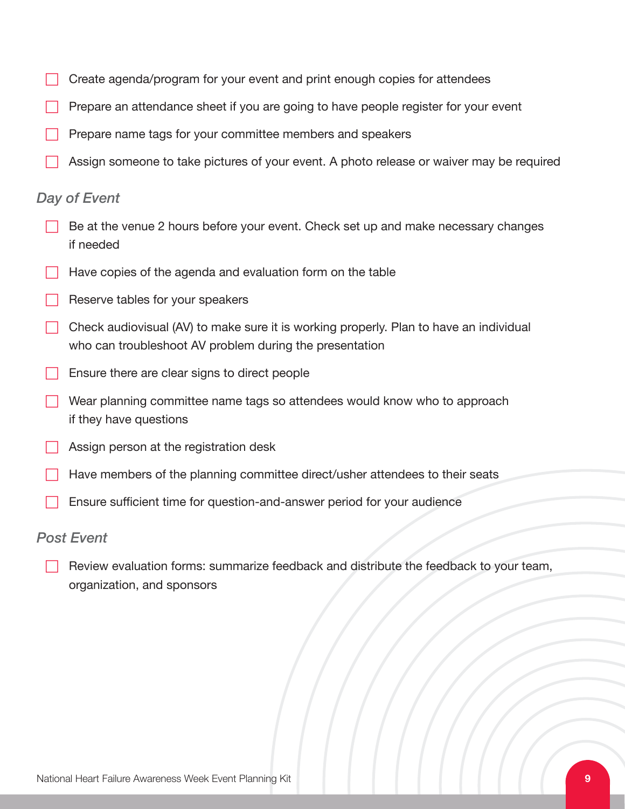- Create agenda/program for your event and print enough copies for attendees
- Prepare an attendance sheet if you are going to have people register for your event
- Prepare name tags for your committee members and speakers
- Assign someone to take pictures of your event. A photo release or waiver may be required

#### *Day of Event*

- Be at the venue 2 hours before your event. Check set up and make necessary changes if needed
- Have copies of the agenda and evaluation form on the table
- Reserve tables for your speakers
- Check audiovisual (AV) to make sure it is working properly. Plan to have an individual who can troubleshoot AV problem during the presentation
- Ensure there are clear signs to direct people
- Wear planning committee name tags so attendees would know who to approach if they have questions
- Assign person at the registration desk
- Have members of the planning committee direct/usher attendees to their seats
- Ensure sufficient time for question-and-answer period for your audience

#### *Post Event*

 Review evaluation forms: summarize feedback and distribute the feedback to your team, organization, and sponsors